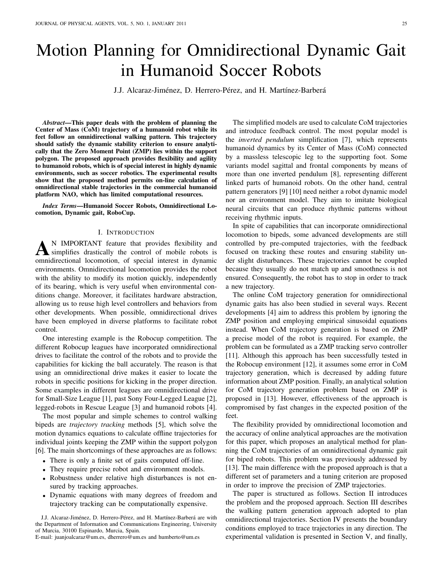# Motion Planning for Omnidirectional Dynamic Gait in Humanoid Soccer Robots

J.J. Alcaraz-Jiménez, D. Herrero-Pérez, and H. Martínez-Barberá

*Abstract*—This paper deals with the problem of planning the Center of Mass (CoM) trajectory of a humanoid robot while its feet follow an omnidirectional walking pattern. This trajectory should satisfy the dynamic stability criterion to ensure analytically that the Zero Moment Point (ZMP) lies within the support polygon. The proposed approach provides flexibility and agility to humanoid robots, which is of special interest in highly dynamic environments, such as soccer robotics. The experimental results show that the proposed method permits on-line calculation of omnidirectional stable trajectories in the commercial humanoid platform NAO, which has limited computational resources.

*Index Terms*—Humanoid Soccer Robots, Omnidirectional Locomotion, Dynamic gait, RoboCup.

## I. INTRODUCTION

**A** N IMPORTANT feature that provides flexibility and simplifies drastically the control of mobile robots is omnidirectional locomotion, of special interest in dynamic N IMPORTANT feature that provides flexibility and simplifies drastically the control of mobile robots is environments. Omnidirectional locomotion provides the robot with the ability to modify its motion quickly, independently of its bearing, which is very useful when environmental conditions change. Moreover, it facilitates hardware abstraction, allowing us to reuse high level controllers and behaviors from other developments. When possible, omnidirectional drives have been employed in diverse platforms to facilitate robot control.

One interesting example is the Robocup competition. The different Robocup leagues have incorporated omnidirectional drives to facilitate the control of the robots and to provide the capabilities for kicking the ball accurately. The reason is that using an omnidirectional drive makes it easier to locate the robots in specific positions for kicking in the proper direction. Some examples in different leagues are omnidirectional drive for Small-Size League [1], past Sony Four-Legged League [2], legged-robots in Rescue League [3] and humanoid robots [4].

The most popular and simple schemes to control walking bipeds are *trajectory tracking* methods [5], which solve the motion dynamics equations to calculate offline trajectories for individual joints keeping the ZMP within the support polygon [6]. The main shortcomings of these approaches are as follows:

- There is only a finite set of gaits computed off-line.
- They require precise robot and environment models.
- Robustness under relative high disturbances is not ensured by tracking approaches.
- Dynamic equations with many degrees of freedom and trajectory tracking can be computationally expensive.

The simplified models are used to calculate CoM trajectories and introduce feedback control. The most popular model is the *inverted pendulum* simplification [7], which represents humanoid dynamics by its Center of Mass (CoM) connected by a massless telescopic leg to the supporting foot. Some variants model sagittal and frontal components by means of more than one inverted pendulum [8], representing different linked parts of humanoid robots. On the other hand, central pattern generators [9] [10] need neither a robot dynamic model nor an environment model. They aim to imitate biological neural circuits that can produce rhythmic patterns without receiving rhythmic inputs.

In spite of capabilities that can incorporate omnidirectional locomotion to bipeds, some advanced developments are still controlled by pre-computed trajectories, with the feedback focused on tracking these routes and ensuring stability under slight disturbances. These trajectories cannot be coupled because they usually do not match up and smoothness is not ensured. Consequently, the robot has to stop in order to track a new trajectory.

The online CoM trajectory generation for omnidirectional dynamic gaits has also been studied in several ways. Recent developments [4] aim to address this problem by ignoring the ZMP position and employing empirical sinusoidal equations instead. When CoM trajectory generation is based on ZMP a precise model of the robot is required. For example, the problem can be formulated as a ZMP tracking servo controller [11]. Although this approach has been successfully tested in the Robocup environment [12], it assumes some error in CoM trajectory generation, which is decreased by adding future information about ZMP position. Finally, an analytical solution for CoM trajectory generation problem based on ZMP is proposed in [13]. However, effectiveness of the approach is compromised by fast changes in the expected position of the feet.

The flexibility provided by omnidirectional locomotion and the accuracy of online analytical approaches are the motivation for this paper, which proposes an analytical method for planning the CoM trajectories of an omnidirectional dynamic gait for biped robots. This problem was previously addressed by [13]. The main difference with the proposed approach is that a different set of parameters and a tuning criterion are proposed in order to improve the precision of ZMP trajectories.

The paper is structured as follows. Section II introduces the problem and the proposed approach. Section III describes the walking pattern generation approach adopted to plan omnidirectional trajectories. Section IV presents the boundary conditions employed to trace trajectories in any direction. The experimental validation is presented in Section V, and finally,

J.J. Alcaraz-Jiménez, D. Herrero-Pérez, and H. Martínez-Barberá are with the Department of Information and Communications Engineering, University of Murcia, 30100 Espinardo, Murcia, Spain.

E-mail: juanjoalcaraz@um.es, dherrero@um.es and humberto@um.es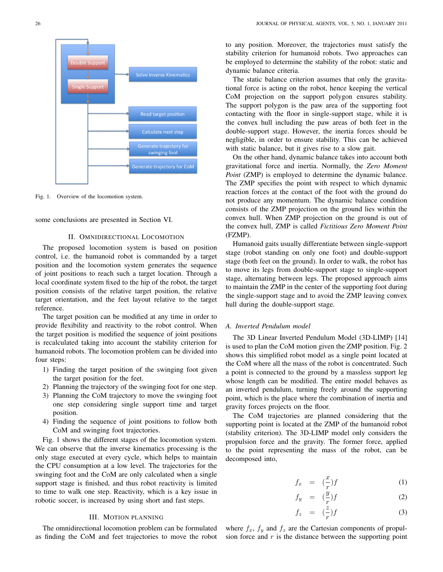

Fig. 1. Overview of the locomotion system.

some conclusions are presented in Section VI.

# II. OMNIDIRECTIONAL LOCOMOTION

The proposed locomotion system is based on position control, i.e. the humanoid robot is commanded by a target position and the locomotion system generates the sequence of joint positions to reach such a target location. Through a local coordinate system fixed to the hip of the robot, the target position consists of the relative target position, the relative target orientation, and the feet layout relative to the target reference.

The target position can be modified at any time in order to provide flexibility and reactivity to the robot control. When the target position is modified the sequence of joint positions is recalculated taking into account the stability criterion for humanoid robots. The locomotion problem can be divided into four steps:

- 1) Finding the target position of the swinging foot given the target position for the feet.
- 2) Planning the trajectory of the swinging foot for one step.
- 3) Planning the CoM trajectory to move the swinging foot one step considering single support time and target position.
- 4) Finding the sequence of joint positions to follow both CoM and swinging foot trajectories.

Fig. 1 shows the different stages of the locomotion system. We can observe that the inverse kinematics processing is the only stage executed at every cycle, which helps to maintain the CPU consumption at a low level. The trajectories for the swinging foot and the CoM are only calculated when a single support stage is finished, and thus robot reactivity is limited to time to walk one step. Reactivity, which is a key issue in robotic soccer, is increased by using short and fast steps.

# III. MOTION PLANNING

The omnidirectional locomotion problem can be formulated as finding the CoM and feet trajectories to move the robot to any position. Moreover, the trajectories must satisfy the stability criterion for humanoid robots. Two approaches can be employed to determine the stability of the robot: static and dynamic balance criteria.

The static balance criterion assumes that only the gravitational force is acting on the robot, hence keeping the vertical CoM projection on the support polygon ensures stability. The support polygon is the paw area of the supporting foot contacting with the floor in single-support stage, while it is the convex hull including the paw areas of both feet in the double-support stage. However, the inertia forces should be negligible, in order to ensure stability. This can be achieved with static balance, but it gives rise to a slow gait.

On the other hand, dynamic balance takes into account both gravitational force and inertia. Normally, the *Zero Moment Point* (ZMP) is employed to determine the dynamic balance. The ZMP specifies the point with respect to which dynamic reaction forces at the contact of the foot with the ground do not produce any momentum. The dynamic balance condition consists of the ZMP projection on the ground lies within the convex hull. When ZMP projection on the ground is out of the convex hull, ZMP is called *Fictitious Zero Moment Point* (FZMP).

Humanoid gaits usually differentiate between single-support stage (robot standing on only one foot) and double-support stage (both feet on the ground). In order to walk, the robot has to move its legs from double-support stage to single-support stage, alternating between legs. The proposed approach aims to maintain the ZMP in the center of the supporting foot during the single-support stage and to avoid the ZMP leaving convex hull during the double-support stage.

# *A. Inverted Pendulum model*

The 3D Linear Inverted Pendulum Model (3D-LIMP) [14] is used to plan the CoM motion given the ZMP position. Fig. 2 shows this simplified robot model as a single point located at the CoM where all the mass of the robot is concentrated. Such a point is connected to the ground by a massless support leg whose length can be modified. The entire model behaves as an inverted pendulum, turning freely around the supporting point, which is the place where the combination of inertia and gravity forces projects on the floor.

The CoM trajectories are planned considering that the supporting point is located at the ZMP of the humanoid robot (stability criterion). The 3D-LIMP model only considers the propulsion force and the gravity. The former force, applied to the point representing the mass of the robot, can be decomposed into,

$$
f_x = \left(\frac{x}{r}\right) f \tag{1}
$$

$$
f_y = \left(\frac{y}{r}\right)f \tag{2}
$$

$$
f_z = (\frac{z}{r})f \tag{3}
$$

where  $f_x$ ,  $f_y$  and  $f_z$  are the Cartesian components of propulsion force and  $r$  is the distance between the supporting point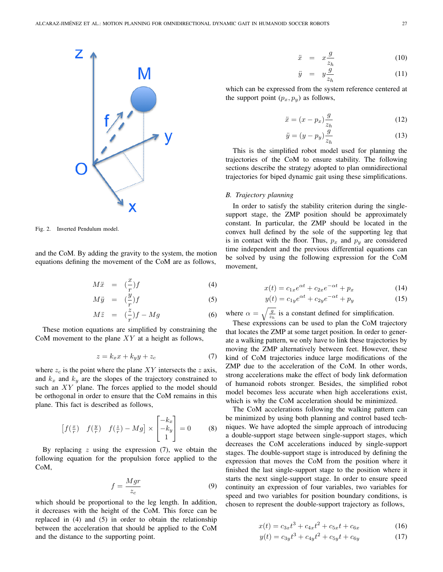

Fig. 2. Inverted Pendulum model.

and the CoM. By adding the gravity to the system, the motion equations defining the movement of the CoM are as follows,

$$
M\ddot{x} = \left(\frac{x}{r}\right)f\tag{4}
$$

$$
M\ddot{y} = (\frac{\dot{y}}{r})f \tag{5}
$$

$$
M\ddot{z} = (\frac{z}{r})f - Mg \tag{6}
$$

These motion equations are simplified by constraining the CoM movement to the plane  $XY$  at a height as follows,

$$
z = k_x x + k_y y + z_c \tag{7}
$$

where  $z_c$  is the point where the plane  $XY$  intersects the z axis, and  $k_x$  and  $k_y$  are the slopes of the trajectory constrained to such an XY plane. The forces applied to the model should be orthogonal in order to ensure that the CoM remains in this plane. This fact is described as follows,

$$
\begin{bmatrix} f(\frac{x}{r}) & f(\frac{y}{r}) & f(\frac{z}{r}) - Mg \end{bmatrix} \times \begin{bmatrix} -k_x \\ -k_y \\ 1 \end{bmatrix} = 0 \quad (8)
$$

By replacing  $z$  using the expression  $(7)$ , we obtain the following equation for the propulsion force applied to the CoM,

$$
f = \frac{Mgr}{z_c} \tag{9}
$$

which should be proportional to the leg length. In addition, it decreases with the height of the CoM. This force can be replaced in (4) and (5) in order to obtain the relationship between the acceleration that should be applied to the CoM and the distance to the supporting point.

$$
\ddot{x} = x \frac{g}{z_h} \tag{10}
$$

$$
\ddot{y} = y \frac{\dot{g}}{z_h} \tag{11}
$$

which can be expressed from the system reference centered at the support point  $(p_x, p_y)$  as follows,

$$
\ddot{x} = (x - p_x) \frac{g}{z_h} \tag{12}
$$

$$
\ddot{y} = (y - p_y) \frac{\dot{g}}{z_h} \tag{13}
$$

This is the simplified robot model used for planning the trajectories of the CoM to ensure stability. The following sections describe the strategy adopted to plan omnidirectional trajectories for biped dynamic gait using these simplifications.

## *B. Trajectory planning*

In order to satisfy the stability criterion during the singlesupport stage, the ZMP position should be approximately constant. In particular, the ZMP should be located in the convex hull defined by the sole of the supporting leg that is in contact with the floor. Thus,  $p_x$  and  $p_y$  are considered time independent and the previous differential equations can be solved by using the following expression for the CoM movement,

$$
x(t) = c_{1x}e^{\alpha t} + c_{2x}e^{-\alpha t} + p_x
$$
 (14)

$$
y(t) = c_{1y}e^{\alpha t} + c_{2y}e^{-\alpha t} + p_y
$$
 (15)

where  $\alpha = \sqrt{\frac{g}{z_h}}$  is a constant defined for simplification.

These expressions can be used to plan the CoM trajectory that locates the ZMP at some target position. In order to generate a walking pattern, we only have to link these trajectories by moving the ZMP alternatively between feet. However, these kind of CoM trajectories induce large modifications of the ZMP due to the acceleration of the CoM. In other words, strong accelerations make the effect of body link deformation of humanoid robots stronger. Besides, the simplified robot model becomes less accurate when high accelerations exist, which is why the CoM acceleration should be minimized.

The CoM accelerations following the walking pattern can be minimized by using both planning and control based techniques. We have adopted the simple approach of introducing a double-support stage between single-support stages, which decreases the CoM accelerations induced by single-support stages. The double-support stage is introduced by defining the expression that moves the CoM from the position where it finished the last single-support stage to the position where it starts the next single-support stage. In order to ensure speed continuity an expression of four variables, two variables for speed and two variables for position boundary conditions, is chosen to represent the double-support trajectory as follows,

$$
x(t) = c_{3x}t^3 + c_{4x}t^2 + c_{5x}t + c_{6x}
$$
 (16)

$$
y(t) = c_{3y}t^{3} + c_{4y}t^{2} + c_{5y}t + c_{6y}
$$
 (17)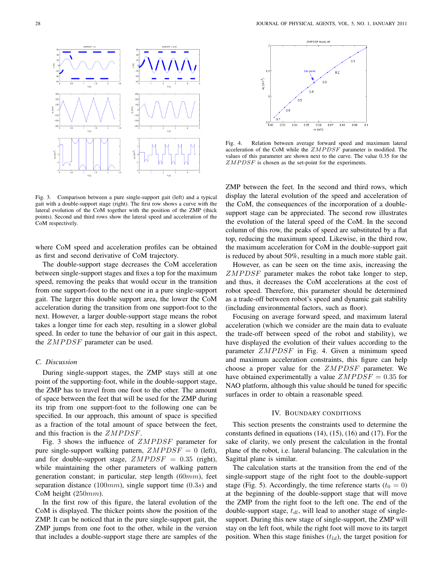

Fig. 3. Comparison between a pure single-support gait (left) and a typical gait with a double-support stage (right). The first row shows a curve with the lateral evolution of the CoM together with the position of the ZMP (thick points). Second and third rows show the lateral speed and acceleration of the CoM respectively.

where CoM speed and acceleration profiles can be obtained as first and second derivative of CoM trajectory.

The double-support stage decreases the CoM acceleration between single-support stages and fixes a top for the maximum speed, removing the peaks that would occur in the transition from one support-foot to the next one in a pure single-support gait. The larger this double support area, the lower the CoM acceleration during the transition from one support-foot to the next. However, a larger double-support stage means the robot takes a longer time for each step, resulting in a slower global speed. In order to tune the behavior of our gait in this aspect, the  $ZMPDSF$  parameter can be used.

## *C. Discussion*

During single-support stages, the ZMP stays still at one point of the supporting-foot, while in the double-support stage, the ZMP has to travel from one foot to the other. The amount of space between the feet that will be used for the ZMP during its trip from one support-foot to the following one can be specified. In our approach, this amount of space is specified as a fraction of the total amount of space between the feet, and this fraction is the  $ZMPDSF$ .

Fig. 3 shows the influence of  $ZMPDSF$  parameter for pure single-support walking pattern,  $ZMPDSF = 0$  (left), and for double-support stage,  $ZMPDSF = 0.35$  (right), while maintaining the other parameters of walking pattern generation constant; in particular, step length (60mm), feet separation distance  $(100mm)$ , single support time  $(0.3s)$  and CoM height  $(250mm)$ .

In the first row of this figure, the lateral evolution of the CoM is displayed. The thicker points show the position of the ZMP. It can be noticed that in the pure single-support gait, the ZMP jumps from one foot to the other, while in the version that includes a double-support stage there are samples of the



Fig. 4. Relation between average forward speed and maximum lateral acceleration of the CoM while the  $ZMPDSF$  parameter is modified. The values of this parameter are shown next to the curve. The value 0.35 for the  $ZMPDSF$  is chosen as the set-point for the experiments.

ZMP between the feet. In the second and third rows, which display the lateral evolution of the speed and acceleration of the CoM, the consequences of the incorporation of a doublesupport stage can be appreciated. The second row illustrates the evolution of the lateral speed of the CoM. In the second column of this row, the peaks of speed are substituted by a flat top, reducing the maximum speed. Likewise, in the third row, the maximum acceleration for CoM in the double-support gait is reduced by about 50%, resulting in a much more stable gait.

However, as can be seen on the time axis, increasing the  $ZMPDSF$  parameter makes the robot take longer to step, and thus, it decreases the CoM accelerations at the cost of robot speed. Therefore, this parameter should be determined as a trade-off between robot's speed and dynamic gait stability (including environmental factors, such as floor).

Focusing on average forward speed, and maximum lateral acceleration (which we consider are the main data to evaluate the trade-off between speed of the robot and stability), we have displayed the evolution of their values according to the parameter  $ZMPDSF$  in Fig. 4. Given a minimum speed and maximum acceleration constraints, this figure can help choose a proper value for the  $ZMPDSF$  parameter. We have obtained experimentally a value  $ZMPDSF = 0.35$  for NAO platform, although this value should be tuned for specific surfaces in order to obtain a reasonable speed.

#### IV. BOUNDARY CONDITIONS

This section presents the constraints used to determine the constants defined in equations (14), (15), (16) and (17). For the sake of clarity, we only present the calculation in the frontal plane of the robot, i.e. lateral balancing. The calculation in the Sagittal plane is similar.

The calculation starts at the transition from the end of the single-support stage of the right foot to the double-support stage (Fig. 5). Accordingly, the time reference starts ( $t_0 = 0$ ) at the beginning of the double-support stage that will move the ZMP from the right foot to the left one. The end of the double-support stage,  $t_{dl}$ , will lead to another stage of singlesupport. During this new stage of single-support, the ZMP will stay on the left foot, while the right foot will move to its target position. When this stage finishes  $(t_{ld})$ , the target position for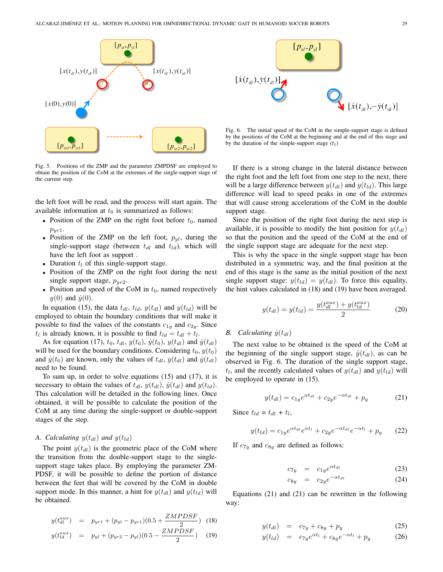

Fig. 5. Positions of the ZMP and the parameter ZMPDSF are employed to obtain the position of the CoM at the extremes of the single-support stage of the current step.

the left foot will be read, and the process will start again. The available information at  $t_0$  is summarized as follows:

- Position of the ZMP on the right foot before  $t_0$ , named  $p_{yr1}$ .
- Position of the ZMP on the left foot,  $p_{yl}$ , during the single-support stage (between  $t_{dl}$  and  $t_{ld}$ ), which will have the left foot as support .
- Duration  $t_l$  of this single-support stage.
- Position of the ZMP on the right foot during the next single support stage,  $p_{yr2}$ .
- Position and speed of the CoM in  $t_0$ , named respectively  $y(0)$  and  $\dot{y}(0)$ .

In equation (15), the data  $t_{dl}$ ,  $t_{ld}$ ,  $y(t_{dl})$  and  $y(t_{ld})$  will be employed to obtain the boundary conditions that will make it possible to find the values of the constants  $c_{1y}$  and  $c_{2y}$ . Since  $t_l$  is already known, it is possible to find  $t_{ld} = t_{dl} + t_l$ .

As for equation (17),  $t_0$ ,  $t_{dl}$ ,  $y(t_0)$ ,  $\dot{y}(t_0)$ ,  $y(t_{dl})$  and  $\dot{y}(t_{dl})$ will be used for the boundary conditions. Considering  $t_0$ ,  $y(t_0)$ and  $\dot{y}(t_0)$  are known, only the values of  $t_{dl}$ ,  $y(t_{dl})$  and  $\dot{y}(t_{dl})$ need to be found.

To sum up, in order to solve equations (15) and (17), it is necessary to obtain the values of  $t_{dl}$ ,  $y(t_{dl})$ ,  $\dot{y}(t_{dl})$  and  $y(t_{ld})$ . This calculation will be detailed in the following lines. Once obtained, it will be possible to calculate the position of the CoM at any time during the single-support or double-support stages of the step.

# *A. Calculating*  $y(t_{dl})$  *and*  $y(t_{ld})$

The point  $y(t_{dl})$  is the geometric place of the CoM where the transition from the double-support stage to the singlesupport stage takes place. By employing the parameter ZM-PDSF, it will be possible to define the portion of distance between the feet that will be covered by the CoM in double support mode. In this manner, a hint for  $y(t_{dd})$  and  $y(t_{dd})$  will be obtained.

$$
y(t_{dl}^{aux}) = p_{yr1} + (p_{yl} - p_{yr1})(0.5 + \frac{ZMPDSF}{2}) \quad (18)
$$

$$
y(t_{ld}^{aux}) = p_{yl} + (p_{yr2} - p_{yl})(0.5 - \frac{ZMPDSF}{2}) \quad (19)
$$



Fig. 6. The initial speed of the CoM in the simple-support stage is defined by the positions of the CoM at the beginning and at the end of this stage and by the duration of the simple-support stage  $(t_l)$ 

If there is a strong change in the lateral distance between the right foot and the left foot from one step to the next, there will be a large difference between  $y(t_{dd})$  and  $y(t_{dd})$ . This large difference will lead to speed peaks in one of the extremes that will cause strong accelerations of the CoM in the double support stage.

Since the position of the right foot during the next step is available, it is possible to modify the hint position for  $y(t_{dl})$ so that the position and the speed of the CoM at the end of the single support stage are adequate for the next step.

This is why the space in the single support stage has been distributed in a symmetric way, and the final position at the end of this stage is the same as the initial position of the next single support stage:  $y(t_{ld}) = y(t_{dl})$ . To force this equality, the hint values calculated in (18) and (19) have been averaged.

$$
y(t_{dl}) = y(t_{ld}) = \frac{y(t_{dl}^{aux}) + y(t_{ld}^{aux})}{2}
$$
 (20)

# *B.* Calculating  $\dot{y}(t_{dl})$

The next value to be obtained is the speed of the CoM at the beginning of the single support stage,  $\dot{y}(t_{dl})$ , as can be observed in Fig. 6. The duration of the single support stage,  $t_l$ , and the recently calculated values of  $y(t_{dl})$  and  $y(t_{ld})$  will be employed to operate in (15).

$$
y(t_{dl}) = c_{1y}e^{\alpha t_{dl}} + c_{2y}e^{-\alpha t_{dl}} + p_y \tag{21}
$$

Since  $t_{ld} = t_{dl} + t_l$ ,

$$
y(t_{ld}) = c_{1y}e^{\alpha t_{dl}}e^{\alpha t_l} + c_{2y}e^{-\alpha t_{dl}}e^{-\alpha t_l} + p_y \qquad (22)
$$

If  $c_{7y}$  and  $c_{8y}$  are defined as follows:

$$
c_{7y} = c_{1y}e^{\alpha t_{dl}} \tag{23}
$$

$$
c_{8y} = c_{2y}e^{-\alpha t_{dl}} \tag{24}
$$

Equations (21) and (21) can be rewritten in the following way:

$$
y(t_{dl}) = c_{7y} + c_{8y} + p_y \tag{25}
$$

$$
y(t_{ld}) = c_{7y}e^{\alpha t_l} + c_{8y}e^{-\alpha t_l} + p_y \tag{26}
$$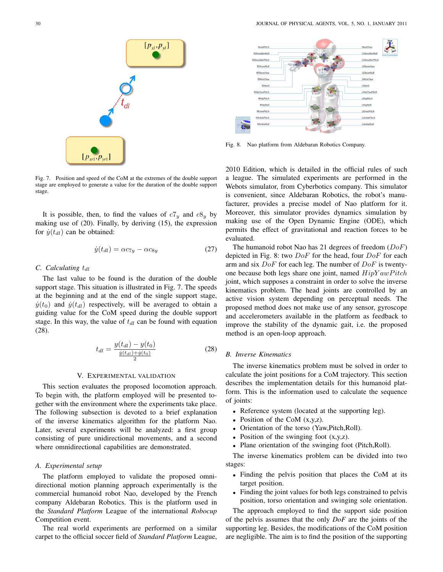

Fig. 7. Position and speed of the CoM at the extremes of the double support stage are employed to generate a value for the duration of the double support stage.

It is possible, then, to find the values of  $c7_y$  and  $c8_y$  by making use of (20). Finally, by deriving (15), the expression for  $\dot{y}(t_{dl})$  can be obtained:

$$
\dot{y}(t_{dl}) = \alpha c_{7y} - \alpha c_{8y} \tag{27}
$$

#### *C.* Calculating  $t_{dl}$

The last value to be found is the duration of the double support stage. This situation is illustrated in Fig. 7. The speeds at the beginning and at the end of the single support stage,  $\dot{y}(t_0)$  and  $\dot{y}(t_{dl})$  respectively, will be averaged to obtain a guiding value for the CoM speed during the double support stage. In this way, the value of  $t_{dl}$  can be found with equation (28).

$$
t_{dl} = \frac{y(t_{dl}) - y(t_0)}{\frac{\dot{y}(t_{dl}) + \dot{y}(t_0)}{2}}\tag{28}
$$

#### V. EXPERIMENTAL VALIDATION

This section evaluates the proposed locomotion approach. To begin with, the platform employed will be presented together with the environment where the experiments take place. The following subsection is devoted to a brief explanation of the inverse kinematics algorithm for the platform Nao. Later, several experiments will be analyzed: a first group consisting of pure unidirectional movements, and a second where omnidirectional capabilities are demonstrated.

# *A. Experimental setup*

The platform employed to validate the proposed omnidirectional motion planning approach experimentally is the commercial humanoid robot Nao, developed by the French company Aldebaran Robotics. This is the platform used in the *Standard Platform* League of the international *Robocup* Competition event.

The real world experiments are performed on a similar carpet to the official soccer field of *Standard Platform* League,



Fig. 8. Nao platform from Aldebaran Robotics Company.

2010 Edition, which is detailed in the official rules of such a league. The simulated experiments are performed in the Webots simulator, from Cyberbotics company. This simulator is convenient, since Aldebaran Robotics, the robot's manufacturer, provides a precise model of Nao platform for it. Moreover, this simulator provides dynamics simulation by making use of the Open Dynamic Engine (ODE), which permits the effect of gravitational and reaction forces to be evaluated.

The humanoid robot Nao has 21 degrees of freedom  $(DoF)$ depicted in Fig. 8: two  $DoF$  for the head, four  $DoF$  for each arm and six  $DoF$  for each leg. The number of  $DoF$  is twentyone because both legs share one joint, named  $HipYawPitch$ joint, which supposes a constraint in order to solve the inverse kinematics problem. The head joints are controlled by an active vision system depending on perceptual needs. The proposed method does not make use of any sensor, gyroscope and accelerometers available in the platform as feedback to improve the stability of the dynamic gait, i.e. the proposed method is an open-loop approach.

## *B. Inverse Kinematics*

The inverse kinematics problem must be solved in order to calculate the joint positions for a CoM trajectory. This section describes the implementation details for this humanoid platform. This is the information used to calculate the sequence of joints:

- Reference system (located at the supporting leg).
- Position of the CoM  $(x,y,z)$ .
- Orientation of the torso (Yaw,Pitch,Roll).
- Position of the swinging foot  $(x,y,z)$ .
- Plane orientation of the swinging foot (Pitch,Roll).

The inverse kinematics problem can be divided into two stages:

- Finding the pelvis position that places the CoM at its target position.
- Finding the joint values for both legs constrained to pelvis position, torso orientation and swinging sole orientation.

The approach employed to find the support side position of the pelvis assumes that the only *DoF* are the joints of the supporting leg. Besides, the modifications of the CoM position are negligible. The aim is to find the position of the supporting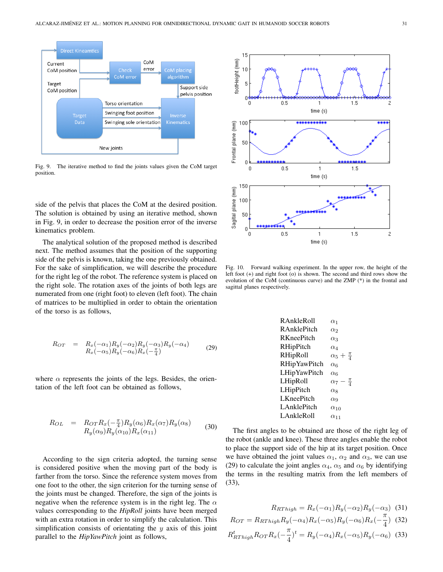

Fig. 9. The iterative method to find the joints values given the CoM target position.

side of the pelvis that places the CoM at the desired position. The solution is obtained by using an iterative method, shown in Fig. 9, in order to decrease the position error of the inverse kinematics problem.

The analytical solution of the proposed method is described next. The method assumes that the position of the supporting side of the pelvis is known, taking the one previously obtained. For the sake of simplification, we will describe the procedure for the right leg of the robot. The reference system is placed on the right sole. The rotation axes of the joints of both legs are numerated from one (right foot) to eleven (left foot). The chain of matrices to be multiplied in order to obtain the orientation of the torso is as follows,

$$
R_{OT} = R_x(-\alpha_1)R_y(-\alpha_2)R_y(-\alpha_3)R_y(-\alpha_4) R_x(-\alpha_5)R_y(-\alpha_6)R_x(-\frac{\pi}{4})
$$
 (29)

where  $\alpha$  represents the joints of the legs. Besides, the orientation of the left foot can be obtained as follows,

$$
R_{OL} = R_{OT} R_x(-\frac{\pi}{4}) R_y(\alpha_6) R_x(\alpha_7) R_y(\alpha_8)
$$
  
\n
$$
R_y(\alpha_9) R_y(\alpha_{10}) R_x(\alpha_{11})
$$
\n(30)

According to the sign criteria adopted, the turning sense is considered positive when the moving part of the body is farther from the torso. Since the reference system moves from one foot to the other, the sign criterion for the turning sense of the joints must be changed. Therefore, the sign of the joints is negative when the reference system is in the right leg. The  $\alpha$ values corresponding to the *HipRoll* joints have been merged with an extra rotation in order to simplify the calculation. This simplification consists of orientating the  $y$  axis of this joint parallel to the *HipYawPitch* joint as follows,



Fig. 10. Forward walking experiment. In the upper row, the height of the left foot (+) and right foot (o) is shown. The second and third rows show the evolution of the CoM (continuous curve) and the ZMP (\*) in the frontal and sagittal planes respectively.

| R AnkleRoll         | $\alpha_1$                 |
|---------------------|----------------------------|
| R AnklePitch        | $\alpha_2$                 |
| <b>RKneePitch</b>   | $\alpha_3$                 |
| RHipPitch           | $\alpha_{4}$               |
| RHipRoll            | $\alpha_5 + \frac{\pi}{4}$ |
| <b>RHipYawPitch</b> | $\alpha$ 6                 |
| LHipYawPitch        | $\alpha$ 6                 |
| LHipRoll            | $\alpha_7-\frac{\pi}{4}$   |
| LHipPitch           | $\alpha$                   |
| <b>LKneePitch</b>   | $\alpha$ <sup>9</sup>      |
| <b>LAnklePitch</b>  | $\alpha_{10}$              |
| LAnkleRoll          | $\alpha$ 11                |
|                     |                            |

The first angles to be obtained are those of the right leg of the robot (ankle and knee). These three angles enable the robot to place the support side of the hip at its target position. Once we have obtained the joint values  $\alpha_1$ ,  $\alpha_2$  and  $\alpha_3$ , we can use (29) to calculate the joint angles  $\alpha_4$ ,  $\alpha_5$  and  $\alpha_6$  by identifying the terms in the resulting matrix from the left members of (33),

$$
R_{RThigh} = R_x(-\alpha_1)R_y(-\alpha_2)R_y(-\alpha_3)
$$
 (31)  

$$
R_{OT} = R_{RThigh}R_y(-\alpha_4)R_x(-\alpha_5)R_y(-\alpha_6)R_x(-\frac{\pi}{4})
$$
 (32)  

$$
R_{RThigh}^t R_{OT}R_x(-\frac{\pi}{4})^t = R_y(-\alpha_4)R_x(-\alpha_5)R_y(-\alpha_6)
$$
 (33)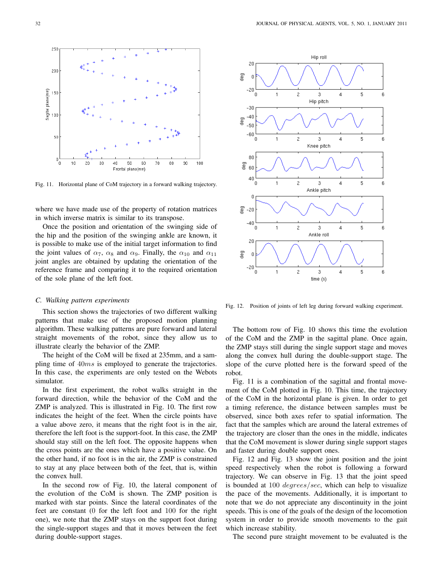

Fig. 11. Horizontal plane of CoM trajectory in a forward walking trajectory.

where we have made use of the property of rotation matrices in which inverse matrix is similar to its transpose.

Once the position and orientation of the swinging side of the hip and the position of the swinging ankle are known, it is possible to make use of the initial target information to find the joint values of  $\alpha_7$ ,  $\alpha_8$  and  $\alpha_9$ . Finally, the  $\alpha_{10}$  and  $\alpha_{11}$ joint angles are obtained by updating the orientation of the reference frame and comparing it to the required orientation of the sole plane of the left foot.

#### *C. Walking pattern experiments*

This section shows the trajectories of two different walking patterns that make use of the proposed motion planning algorithm. These walking patterns are pure forward and lateral straight movements of the robot, since they allow us to illustrate clearly the behavior of the ZMP.

The height of the CoM will be fixed at 235mm, and a sampling time of  $40ms$  is employed to generate the trajectories. In this case, the experiments are only tested on the Webots simulator.

In the first experiment, the robot walks straight in the forward direction, while the behavior of the CoM and the ZMP is analyzed. This is illustrated in Fig. 10. The first row indicates the height of the feet. When the circle points have a value above zero, it means that the right foot is in the air, therefore the left foot is the support-foot. In this case, the ZMP should stay still on the left foot. The opposite happens when the cross points are the ones which have a positive value. On the other hand, if no foot is in the air, the ZMP is constrained to stay at any place between both of the feet, that is, within the convex hull.

In the second row of Fig. 10, the lateral component of the evolution of the CoM is shown. The ZMP position is marked with star points. Since the lateral coordinates of the feet are constant (0 for the left foot and 100 for the right one), we note that the ZMP stays on the support foot during the single-support stages and that it moves between the feet during double-support stages.



Fig. 12. Position of joints of left leg during forward walking experiment.

The bottom row of Fig. 10 shows this time the evolution of the CoM and the ZMP in the sagittal plane. Once again, the ZMP stays still during the single support stage and moves along the convex hull during the double-support stage. The slope of the curve plotted here is the forward speed of the robot.

Fig. 11 is a combination of the sagittal and frontal movement of the CoM plotted in Fig. 10. This time, the trajectory of the CoM in the horizontal plane is given. In order to get a timing reference, the distance between samples must be observed, since both axes refer to spatial information. The fact that the samples which are around the lateral extremes of the trajectory are closer than the ones in the middle, indicates that the CoM movement is slower during single support stages and faster during double support ones.

Fig. 12 and Fig. 13 show the joint position and the joint speed respectively when the robot is following a forward trajectory. We can observe in Fig. 13 that the joint speed is bounded at 100 degrees/sec, which can help to visualize the pace of the movements. Additionally, it is important to note that we do not appreciate any discontinuity in the joint speeds. This is one of the goals of the design of the locomotion system in order to provide smooth movements to the gait which increase stability.

The second pure straight movement to be evaluated is the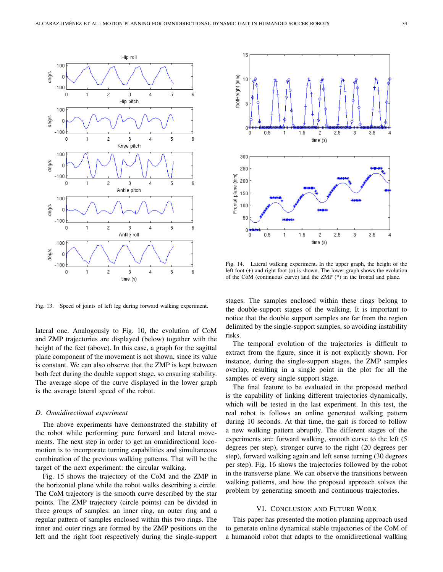

Fig. 13. Speed of joints of left leg during forward walking experiment.

lateral one. Analogously to Fig. 10, the evolution of CoM and ZMP trajectories are displayed (below) together with the height of the feet (above). In this case, a graph for the sagittal plane component of the movement is not shown, since its value is constant. We can also observe that the ZMP is kept between both feet during the double support stage, so ensuring stability. The average slope of the curve displayed in the lower graph is the average lateral speed of the robot.

#### *D. Omnidirectional experiment*

The above experiments have demonstrated the stability of the robot while performing pure forward and lateral movements. The next step in order to get an omnidirectional locomotion is to incorporate turning capabilities and simultaneous combination of the previous walking patterns. That will be the target of the next experiment: the circular walking.

Fig. 15 shows the trajectory of the CoM and the ZMP in the horizontal plane while the robot walks describing a circle. The CoM trajectory is the smooth curve described by the star points. The ZMP trajectory (circle points) can be divided in three groups of samples: an inner ring, an outer ring and a regular pattern of samples enclosed within this two rings. The inner and outer rings are formed by the ZMP positions on the left and the right foot respectively during the single-support



Fig. 14. Lateral walking experiment. In the upper graph, the height of the left foot (+) and right foot (o) is shown. The lower graph shows the evolution of the CoM (continuous curve) and the ZMP (\*) in the frontal and plane.

stages. The samples enclosed within these rings belong to the double-support stages of the walking. It is important to notice that the double support samples are far from the region delimited by the single-support samples, so avoiding instability risks.

The temporal evolution of the trajectories is difficult to extract from the figure, since it is not explicitly shown. For instance, during the single-support stages, the ZMP samples overlap, resulting in a single point in the plot for all the samples of every single-support stage.

The final feature to be evaluated in the proposed method is the capability of linking different trajectories dynamically, which will be tested in the last experiment. In this test, the real robot is follows an online generated walking pattern during 10 seconds. At that time, the gait is forced to follow a new walking pattern abruptly. The different stages of the experiments are: forward walking, smooth curve to the left (5 degrees per step), stronger curve to the right (20 degrees per step), forward walking again and left sense turning (30 degrees per step). Fig. 16 shows the trajectories followed by the robot in the transverse plane. We can observe the transitions between walking patterns, and how the proposed approach solves the problem by generating smooth and continuous trajectories.

# VI. CONCLUSION AND FUTURE WORK

This paper has presented the motion planning approach used to generate online dynamical stable trajectories of the CoM of a humanoid robot that adapts to the omnidirectional walking